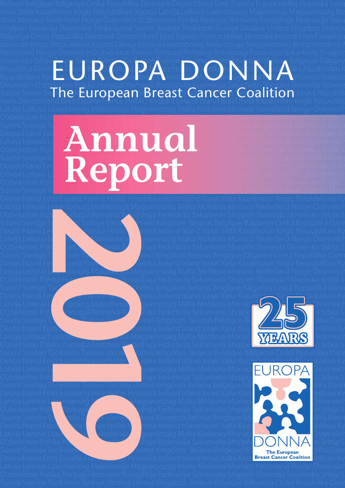#### Slovensko Srbija <del>Sui</del>sse Suomi Sverige Tocikiston Turkiye <del>Ukr</del>aïna United Kingdom Belarus Belgique Bălgariy Republika Danmark Deutschland Eesti España France Hellas Hrvatska Ireland Island Israel Italia Kazakhstan K Respublikası Kyplos Latvija Leitava Luxembourg Makedonija Macyons<mark>tág Malta Moldova</mark> Monaco Nederla Österreich Oʻzb<u>eki</u>ston P<u>ol</u>ska Portugal Romania Rossijshaja Federacija Sakartvelo Shqipëri Slovenija Slovens Suisse Suomi S**The European Breast Cancer Coalition** Ceska Republik EUROPA DONNA

**Annual**

O'zbekiston Pols**ka Portugal Romania Romania Rossija Federacija Sakartvelo Shqipëri Slovenij**a Slovensko Srbija S Suomi Sverige Tocikiston Turkiye Ukraïna Ukraïna Ukraïna United Kingdom Belgique Bălgariya Ceská Republika Dann Deutschland Eesti España France Hellas Hrvatska III et Israel Italia Kazakhstan Kirgiz Respublikası Ky Latvija Leituva Lu $\begin{pmatrix} 1 & 1 & 1 \end{pmatrix}$  Moldova Monaco Nederland Norge Österreich O'zbekiston Pols**ka Portugal Romania Romania Romania Romania Rossija Suisse Portugal Romania Romania Romania Romania Romania Romania Romania Romania Romania Romania Romania Romania Romania Romania Romania Romania Romania R** Suomi Sverige Tocikiston Turkiye Ukraïna Ukraïna Ukraïna Belarus Belgique Bălgariya Ceská Republika Dann Deutschland Eesti España France Hellas Harvatska Italia Kazakhstan Kirgiz Respublikası Ky Latvija Leituva Lu $\blacksquare$   $\blacksquare$   $\blacksquare$   $\blacksquare$   $\blacksquare$   $\blacksquare$  Malta Moldova Monaco Nederland Norge Österreich Suomi Sverige Torus Andrea Romania Romania Rossigi e Bălgariya Ceská Republika Dann<br>Deutschland Eesti Romania Federacija Sakartvelo Shqipëri Slovenija Slovensko Srbija Suisse Rossigi Republikas<br>Oʻzbekiston Polska Srbija Su Suomi Sverige Tocikiston Turkiye Ukraïna Ukraïna Ukraïna Belarus Belgique Bălgariya Ceská Republika Danr



Latvija Leituva L<u>uxe</u>mbourg Makedonija Magyarország Malta Moldova Monaco Nederland Norge Österreich O'zbekiston Polska Portugal Romania Rossijshaja Federacija Sakartvelo Shqipëri Slovenija Slovensko Srbija S Suomi Sverige Tochkiston Turkiye Ukra $\blacksquare$ ited Kingdom Belarus Belgique Bălgariya Ceská Republika Danr Deutschland Eesti España France Hellas Hratiska Ireland Island Israel Italia Kazakhstan Kirgiz Respublikası Ky Latvija Leituva Lu**zembo Makedonija M**ayarország Malta Moldova Monaco Nederland Norge Österreich O'zbekiston Polska Portugal Romania Rossija Federacija Sakartvelo Shqipëri Slovenija Slovensko Srbija S Suomi Sverige Tocikiston Turkiye Ukraïna United Kingdom Belarus Belgique Bălgariya Ceská Republika Dann Deutschland Eesti España France Hellas Hrvatska Ireland Island Israel Italia Kazakhstan Kirgiz Respublikası Ky Latvija Leituva Luxembourg Makedonija Magyarország Malta Moldova Monaco Nederland Norge Österreich O'zbekiston Polska Portugal Rossijshaja Federacija Sakartvelo Shqipëri Slovenija Slovensko Srbija S

Deutschland Eesti España France Hellas Hrvatska Ireland Island Israel Italia Kazakhstan Kirgiz Respublikası Ky Latvija Leituva L**uxembourg Makedonija Magyarország Malta Moldova Monaco Nederland Norge Österreich** O'zbekiston Polska Portugal Romania Rossija Federacija Sakartvelo Shqipëri Sloveni Slovenija Slovenija Slovensk Suomi Sverige Tocikiston Turkiye Ukraïna Lifed Kingdom Belarus Belgique Ba $\overline{R}$ lgariya Cesariya Danm Deutschland Eesti España France Hellas Hrvatska Ireland Island Israel Italia Kazakhstan Kirgiz Respublikası Ky O'zbekiston Polska Portugal Romania Rossijshaja Federacija Sakartvelo Shqipëri Salovenija Srbija S

Suomi Sverige Tocikiston Turkiye Ukraïna United Kingdom Belarus Belgique Bălgariya Ceská Republika Danr Deutschland Ees<u>ti España France Hellas Ha</u>tska Ireland Island Israel Italia Kazakhstan Kirgiz Respublikası Ky O'zbekiston Polska Portugal Romania Romania Rossija Federacija Sakartvelo Shqipëri Slovenija Slovensko Srbija S

Deutschland Eesti España France Hellas Hrvatska Ireland Island Israel Italia Kazakhstan Kirgiz Respublikası Ky Latvija Leituva Luxembourg Makedonija Magyarország Malta Moldova Monaco Nederland Norge Österreich O'zbekiston Polska Portugal Romania Rossija Rederacija Sakartvelo Shqipëri Slovenija Slovenija Slovensko Srbija S Suomi Sverige Tocikiston Turkiye Ukraïna United Kingdom Belarus Belgique Ba'lgariya Cesaka Republika Danm Deutschland Eesti España France Hellas Hrvatska Ireland Island Israel Italia Kazakhstan Kirgiz Respublikası Ky Latvija Leituva Luxembov Makedonija Malta Moldova Monaco Nederland Norge Österreich O'zbekiston Polska Portugal Romania Romania Rossija Federacija Sakartvelo Shqipëri **Shqipëri Sloveni Shqipëri S** Suomi Sverige Tocikiston Turkiye Ukraïna United Kingdom Belarus Belgique Bă $\frac{r}{\text{The European}}$ olika Danm



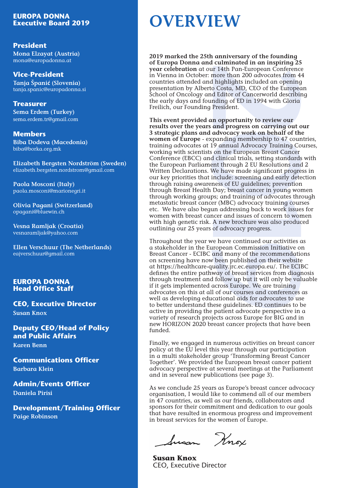## **EUROPA DONNA<br>Executive Board 2019**

#### **President**

**Mona Elzayat (Austria)** mona@europadonna.at

**Vice-President**

**Tanja Španić (Slovenia)** tanja.spanic@europadonna.si

**Treasurer Sema Erdem (Turkey)** sema.erdem.tr@gmail.com

**Members Biba Dodeva (Macedonia)** biba@borka.org.mk

**Elizabeth Bergsten Nordström (Sweden)** elizabeth.bergsten.nordstrom@gmail.com

**Paola Mosconi (Italy)** paola.mosconi@marionegri.it

**Olivia Pagani (Switzerland)** opagani@bluewin.ch

**Vesna Ramljak (Croatia)** vesnaramljak@yahoo.com

**Ellen Verschuur (The Netherlands)** eajverschuur@gmail.com

#### **EUROPA DONNA Head Office Staff**

**CEO, Executive Director Susan Knox**

**Deputy CEO/Head of Policy and Public Affairs**

**Karen Benn**

**Communications Officer Barbara Klein**

**Admin/Events Officer Daniela Pirisi**

**Development/Training Officer Paige Robinson**

## **Executive Board 2019 OVERVIEW**

**2019 marked the 25th anniversary of the founding of Europa Donna and culminated in an inspiring 25 year celebration** at our 14th Pan-European Conference in Vienna in October: more than 200 advocates from 44 countries attended and highlights included an opening presentation by Alberto Costa, MD, CEO of the European School of Oncology and Editor of Cancerworld describing the early days and founding of ED in 1994 with Gloria Freilich, our Founding President.

It 14th Pan-European Conferenc<br>
more than 200 advocates from 4<br>
h lighlights included an opening<br>
o Costa, MD, CEO of the Europea<br>
d Editor of Cancerworld describing<br>
a Editor of Cancerworld describing<br>
president.<br> **2019 This event provided an opportunity to review our results over the years and progress on carrying out our 3 strategic plans and advocacy work on behalf of the women of Europe** - expanding membership to 47 countries, training advocates at 19 annual Advocacy Training Courses, working with scientists on the European Breast Cancer Conference (EBCC) and clinical trials, setting standards with the European Parliament through 2 EU Resolutions and 2 Written Declarations. We have made significant progress in our key priorities that include: screening and early detection through raising awareness of EU guidelines; prevention through Breast Health Day; breast cancer in young women through working groups; and training of advocates through metastatic breast cancer (MBC) advocacy training courses etc. We have also begun addressing back to work issues for women with breast cancer and issues of concern to women with high genetic risk. A new brochure was also produced outlining our 25 years of advocacy progress.

Throughout the year we have continued our activities as a stakeholder in the European Commission Initiative on Breast Cancer - ECIBC and many of the recommendations on screening have now been published on their website at https://healthcare-quality.jrc.ec.europa.eu/. The ECIBC defines the entire pathway of breast services from diagnosis through treatment and follow up but it will only be valuable if it gets implemented across Europe. We are training advocates on this at all of our courses and conferences as well as developing educational aids for advocates to use to better understand these guidelines. ED continues to be active in providing the patient advocate perspective in a variety of research projects across Europe for BIG and in new HORIZON 2020 breast cancer projects that have been funded.

Finally, we engaged in numerous activities on breast cancer policy at the EU level this year through our participation in a multi stakeholder group 'Transforming Breast Cancer Together'. We provided the European breast cancer patient advocacy perspective at several meetings at the Parliament and in several new publications (see page 3).

As we conclude 25 years as Europe's breast cancer advocacy organisation, I would like to commend all of our members in 47 countries, as well as our friends, collaborators and sponsors for their commitment and dedication to our goals that have resulted in enormous progress and improvement in breast services for the women of Europe.

fusan Knox

**Susan Knox** CEO, Executive Director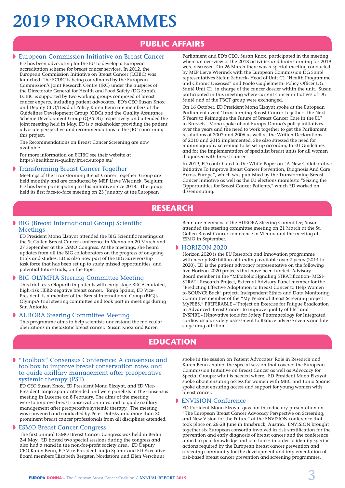# **2019 PROGRAMMES**

## **PUBLIC AFFAIRS**

#### **European Commission Initiative on Breast Cancer**

ED has been advocating for the EU to develop a European accreditation scheme for breast cancer services. In 2012, the European Commission Initiative on Breast Cancer (ECIBC) was launched. The ECIBC is being coordinated by the European Commission's Joint Research Centre (JRC) under the auspices of the Directorate General for Health and Food Safety (DG Santé). ECIBC is supported by two working groups composed of breast cancer experts, including patient advocates. ED's CEO Susan Knox and Deputy CEO/Head of Policy Karen Benn are members of the Guidelines Development Group (GDG) and the Quality Assurance Scheme Development Group (QASDG) respectively and attended the joint meeting held in May. ED is a stakeholder providing the patient advocate perspective and recommendations to the JRC concerning this project.

The Recommendations on Breast Cancer Screening are now available.

For more information on ECIBC see their website at https://healthcare-quality.jrc.ec.europa.eu/

#### **I** Transforming Breast Cancer Together

Meetings of the 'Transforming Breast Cancer Together' Group are held monthly and are conducted by MEP Lieve Wierinck, Belgium; ED has been participating in this initiative since 2018. The group held its first face-to-face meeting on 23 January at the European

Parliament and ED's CEO, Susan Knox, participated in the meeting where an overview of the 2018 activities and brainstorming for 2019 were discussed. On 26 March there was a special meeting conducted by MEP Lieve Wierinck with the European Commission DG Santé representatives Stefan Schreck- Head of Unit C1 "Health Programme and Chronic Diseases" and Paolo Guglielmetti- Policy Officer DG Santé Unit C1, in charge of the cancer dossier within the unit. Susan participated in this meeting where current cancer initiatives of DG Santé and of the TBCT group were exchanged.

On 16 October, ED President Mona Elzayat spoke at the European Parliament event 'Transforming Breast Cancer Together: The Next 5 Years to Reimagine the Future of Breast Cancer Care in the EU' in Brussels. Mona spoke about Europa Donna's policy initiatives over the years and the need to work together to get the Parliament resolutions of 2003 and 2006 as well as the Written Declarations of 2010 and 2015 implemented. She also stressed the need for mammography screening to be set up according to EU Guidelines and for the implementation of specialist breast units for all women diagnosed with breast cancer.

In 2019, ED contributed to the White Paper on "A New Collaborative Initiative To Improve Breast Cancer Prevention, Diagnosis And Care Across Europe", which was published by the Transforming Breast Cancer Initiative as well as the EU elections manifesto "Seizing the Opportunities for Breast Cancer Patients," which ED worked on disseminating.

### **RESEARCH**

#### **BIG (Breast International Group) Scientific Meetings**

ED President Mona Elzayat attended the BIG Scientific meetings at the St.Gallen Breast Cancer conference in Vienna on 20 March and 27 September at the ESMO Congress. At the meetings, she heard updates from all the BIG collaborators on the progress of on-going trials and studies. ED is also now part of the BIG Survivorship task force that has been set up to study missed opportunities, and potential future trials, on the topic.

#### **BIG OLYMPIA Steering Committee Meeting**

This trial tests Olaparib in patients with early stage BRCA-mutated, high-risk HER2-negative breast cancer. Tanja Spanic, ED Vice-President, is a member of the Breast International Group (BIG)'s OlympiA trial steering committee and took part in meetings during San Antonio.

#### **D** AURORA Steering Committee Meeting

This programme aims to help scientists understand the molecular aberrations in metastatic breast cancer. Susan Knox and Karen

Benn are members of the AURORA Steering Committee; Susan attended the steering committee meeting on 21 March at the St. Gallen Breast Cancer conference in Vienna and the meeting at ESMO in September.

#### HORIZON 2020

Horizon 2020 is the EU Research and Innovation programme with nearly €80 billion of funding available over 7 years (2014 to 2020). ED is the patient advocacy representative on the following five Horizon 2020 projects that have been funded: Advisory Board member in the "MEtabolic SIgnaling STRATification- MESI-STRAT" Research Project, External Advisory Panel member for the "Predicting Effective Adaptation to Breast Cancer to Help Women to BOUNCE Back" project, Independent Ethics and Data Monitoring Committee member of the "My Personal Breast Screening project – MyPEBS," PREFERABLE –"Project on Exercise for Fatigue Eradication in Advanced Breast Cancer to improve quality of life" and INSPIRE - INnovative tools for Safety Pharmacology for Integrated cardiovascular safety assessment to REduce adverse events and late stage drug attrition.

### **EDUCATION**

#### **WE "Toolbox"** Consensus Conference: A consensus and toolbox to improve breast conservation rates and to guide axillary management after preoperative systemic therapy (PST)

ED CEO Susan Knox, ED President Mona Elzayat, and ED Vice-President Tanja Spanic attended and were panelists in the consensus meeting in Lucerne on 8 February. The aims of the meeting were to improve breast conservation rates and to guide axillary management after preoperative systemic therapy. The meeting was convened and conducted by Peter Dubsky and more than 30 prominent breast cancer professionals from all disciplines attended.

#### **ESMO Breast Cancer Congress**

The first annual ESMO Breast Cancer Congress was held in Berlin 2-4 May. ED hosted two special sessions during the congress and also had a stand in the non-for-profit society area. ED Deputy CEO Karen Benn, ED Vice-President Tanja Spanic and ED Executive Board members Elizabeth Bergsten Nordström and Ellen Verschuur

spoke in the session on Patient Advocates' Role in Research and Karen Benn chaired the special session that covered the European Commission Initiative on Breast Cancer as well as Advocacy for Special Groups: what is needed where. ED President Mona Elzayat spoke about ensuring access for women with MBC and Tanja Spanic spoke about ensuring access and support for young women with breast cancer.

#### **ENVISION Conference**

ED President Mona Elzayat gave an introductory presentation on "The European Breast Cancer Advocacy Perspective on Screening, and New Vision for the Future" at the ENVISION conference that took place on 26-28 June in Innsbruck, Austria. ENVISION brought together six European consortia involved in risk stratification for the prevention and early diagnosis of breast cancer and the conference aimed to pool knowledge and join forces in order to identify specific actions required by the European breast cancer prevention and screening community for the development and implementation of risk-based breast cancer prevention and screening programmes.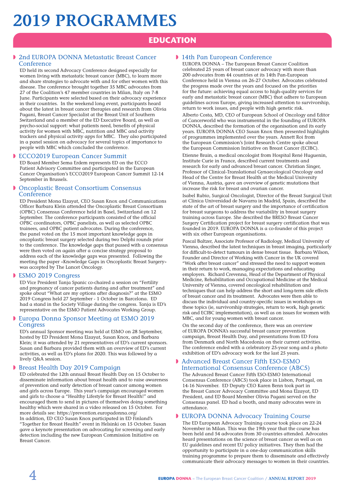## **2019 PROGRAMMES**

### **EDUCATION**

#### **D** 2nd EUROPA DONNA Metastatic Breast Cancer Conference

ED held its second Advocacy Conference designed especially for women living with metastatic breast cancer (MBC), to learn more and share strategies to advocate with and for other women with this disease. The conference brought together 35 MBC advocates from 27 of the Coalition's 47 member countries in Milan, Italy on 7-8 June. Participants were selected based on their advocacy experience in their countries. In the weekend long event, participants heard about the latest in breast cancer therapies and research from Olivia Pagani, Breast Cancer Specialist at the Breast Unit of Southern Switzerland and a member of the ED Executive Board, as well as psycho-social support: what patients need, benefits of physical activity for women with MBC, nutrition and MBC and activity trackers and physical activity apps for MBC. They also participated in a panel session on advocacy for several topics of importance to people with MBC which concluded the conference.

#### **DECCO2019 European Cancer Summit**

ED Board Member Sema Erdem represents ED on the ECCO Patient Advisory Committee and participated in the European Cancer Organisation's ECCO2019 European Cancer Summit 12-14 September in Brussels.

#### **D** Oncoplastic Breast Consortium Consensus Conference

ED President Mona Elzayat, CEO Susan Knox and Communications Officer Barbara Klein attended the Oncoplastic Breast Consortium (OPBC) Consensus Conference held in Basel, Switzerland on 12 September. The conference participants consisted of the official OPBC coordinators, OPBC panelists, as well as selected OPBC trainees, and OPBC patient advocates. During the conference, the panel voted on the 15 most important knowledge gaps in oncoplastic breast surgery selected during two Delphi rounds prior to the conference. The knowledge gaps that passed with a consensus were then voted on again after a concise strategy proposal to address each of the knowledge gaps was presented. Following the meeting the paper «Knowledge Gaps in Oncoplastic Breast Surgery» was accepted by The Lancet Oncology.

#### **ESMO 2019 Congress**

ED Vice President Tanja Spanic co-chaired a session on "Fertility and pregnancy of cancer patients during and after treatment" and spoke about "What are my options after diagnosis?" at the ESMO 2019 Congress held 27 September - 1 October in Barcelona. ED had a stand in the Society Village during the congress. Tanja is ED's representative on the ESMO Patient Advocates Working Group.

#### **Europa Donna Sponsor Meeting at ESMO 2019 Congress**

ED's annual Sponsor meeting was held at ESMO on 28 September, hosted by ED President Mona Elzayat, Susan Knox, and Barbara Klein; it was attended by 21 representatives of ED's current sponsors. Susan and Barbara provided them with an overview of ED's current activities, as well as ED's plans for 2020. This was followed by a lively Q&A session.

#### **Breast Health Day 2019 Campaign**

ED celebrated the 12th annual Breast Health Day on 15 October to disseminate information about breast health and to raise awareness of prevention and early detection of breast cancer among women and girls across Europe. This year's campaign encouraged women and girls to choose a "Healthy Lifestyle for Breast Health!" and encouraged them to send in pictures of themselves doing something healthy which were shared in a video released on 15 October. For more details see: https://prevention.europadonna.org/

In addition, ED CEO Susan Knox participated in ED Finland's "Together for Breast Health" event in Helsinki on 15 October. Susan gave a keynote presentation on advocating for screening and early detection including the new European Commission Initiative on Breast Cancer.

#### 14th Pan European Conference

EUROPA DONNA – The European Breast Cancer Coalition celebrated 25 years of breast cancer advocacy with more than 200 advocates from 44 countries at its 14th Pan-European Conference held in Vienna on 26-27 October. Advocates celebrated the progress made over the years and focused on the priorities for the future: achieving equal access to high-quality services for early and metastatic breast cancer (MBC) that adhere to European guidelines across Europe, giving increased attention to survivorship, return to work issues, and people with high genetic risk.

Alberto Costa, MD, CEO of European School of Oncology and Editor of Cancerworld who was instrumental in the founding of EUROPA DONNA, described the formation of the organisation and its early years. EUROPA DONNA CEO Susan Knox then presented highlights of programmes implemented over the years. Annett Roi from the European Commission's Joint Research Centre spoke about the European Commission Initiative on Breast Cancer (ECIBC).

Etienne Brain, a medical oncologist from Hospital René Huguenin, Institute Curie in France, described current treatments and research for early and advanced breast cancer. Christian Singer, Professor of Clinical-Translational Gynaecological Oncology and Head of the Centre for Breast Health at the Medical University of Vienna, Austria, gave an overview of genetic mutations that increase the risk for breast and ovarian cancer.

Isabel Rubio, Surgical Oncologist, Director of the Breast Surgical Unit at Clínica Universidad de Navarra in Madrid, Spain, described the state of the art of breast surgery and the importance of certification for breast surgeons to address the variability in breast surgery training across Europe. She described the BRESO Breast Cancer Surgery Certification project for breast surgery certification that was founded in 2019. EUROPA DONNA is a co-founder of this project with six other European organisations.

Pascal Baltzer, Associate Professor of Radiology, Medical University of Vienna, described the latest techniques in breast imaging, particularly for difficult-to-detect tumours in dense breast tissue. Barbara Wilson, Founder and Director of Working with Cancer in the UK covered "Work after breast cancer" and stressed the need to support women in their return to work, managing expectations and educating employers. Richard Crevenna, Head of the Department of Physical Medicine, Rehabilitation and Occupational Medicine at the Medical University of Vienna, covered oncological rehabilitation and techniques that can help address the short and long-term side effects of breast cancer and its treatment. Advocates were then able to discuss the individual and country-specific issues in workshops on these topics (ie, survivorship strategies, return to work, high genetic risk and ECIBC implementation), as well as on issues for women with MBC, and for young women with breast cancer.

On the second day of the conference, there was an overview of EUROPA DONNA's successful breast cancer prevention campaign, Breast Health Day, and presentations from ED Fora from Denmark and North Macedonia on their current activities. The conference ended with a celebratory 25-year song and a photo exhibition of ED's advocacy work for the last 25 years.

#### **Advanced Breast Cancer Fifth ESO-ESMO** International Consensus Conference (ABC5)

The Advanced Breast Cancer Fifth ESO-ESMO International Consensus Conference (ABC5) took place in Lisbon, Portugal, on 14-16 November. ED Deputy CEO Karen Benn took part in the Breast Cancer Advocacy Committee and Mona Elzayat, ED President, and ED Board Member Olivia Pagani served on the Consensus panel. ED had a booth, and many advocates were in attendance.

#### **EUROPA DONNA Advocacy Training Course**

The ED European Advocacy Training course took place on 22-24 November in Milan. This was the 19th year that the course has been held and 54 advocates from 30 countries attended. Advocates heard presentations on the science of breast cancer as well as on EU guidelines and recent EU policy initiatives. They then had the opportunity to participate in a one-day communication skills training programme to prepare them to disseminate and effectively communicate their advocacy messages to women in their countries.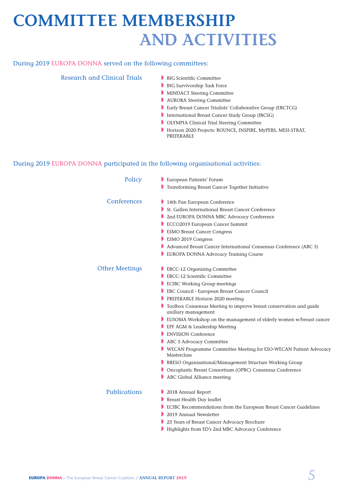## **COMMITTEE MEMBERSHIP AND ACTIVITIES**

#### During 2019 EUROPA DONNA served on the following committees:

#### Research and Clinical Trials

- **BIG Scientific Committee**
- BIG Survivorship Task Force
- **MINDACT Steering Committee**
- **NURORA Steering Committee**
- **B** Early Breast Cancer Trialists' Collaborative Group (EBCTCG)
- International Breast Cancer Study Group (IBCSG)
- **D** OLYMPIA Clinical Trial Steering Committee
- Horizon 2020 Projects: BOUNCE, INSPIRE, MyPEBS, MESI-STRAT, PREFERABLE

#### During 2019 EUROPA DONNA participated in the following organisational activities:

| Policy                | European Patients' Forum<br>Transforming Breast Cancer Together Initiative                |
|-----------------------|-------------------------------------------------------------------------------------------|
|                       |                                                                                           |
| Conferences           | 14th Pan European Conference                                                              |
|                       | St. Gallen International Breast Cancer Conference                                         |
|                       | 2nd EUROPA DONNA MBC Advocacy Conference                                                  |
|                       | ECCO2019 European Cancer Summit                                                           |
|                       | <b>ESMO Breast Cancer Congress</b>                                                        |
|                       | ESMO 2019 Congress                                                                        |
|                       | Advanced Breast Cancer International Consensus Conference (ABC 5)                         |
|                       | EUROPA DONNA Advocacy Training Course                                                     |
| <b>Other Meetings</b> | EBCC-12 Organising Committee                                                              |
|                       | EBCC-12 Scientific Committee                                                              |
|                       | <b>ECIBC Working Group meetings</b>                                                       |
|                       | EBC Council - European Breast Cancer Council                                              |
|                       | PREFERABLE Horizon 2020 meeting                                                           |
|                       | Toolbox Consensus Meeting to improve breast conservation and guide<br>axillary management |
|                       | EUSOMA Workshop on the management of elderly women w/breast cancer                        |
|                       | EPF AGM & Leadership Meeting                                                              |
|                       | ENVISION Conference                                                                       |
|                       | ABC 5 Advocacy Committee                                                                  |
|                       | WECAN Programme Committee Meeting for ESO-WECAN Patient Advocacy<br>Masterclass           |
|                       | BRESO Organisational/Management Structure Working Group                                   |
|                       | Oncoplastic Breast Consortium (OPBC) Consensus Conference                                 |
|                       | ABC Global Alliance meeting                                                               |
| <b>Publications</b>   | 2018 Annual Report                                                                        |
|                       | Breast Health Day leaflet                                                                 |
|                       | ECIBC Recommendations from the European Breast Cancer Guidelines                          |
|                       | 2019 Annual Newsletter                                                                    |
|                       | 25 Years of Breast Cancer Advocacy Brochure                                               |
|                       | Highlights from ED's 2nd MBC Advocacy Conference                                          |
|                       |                                                                                           |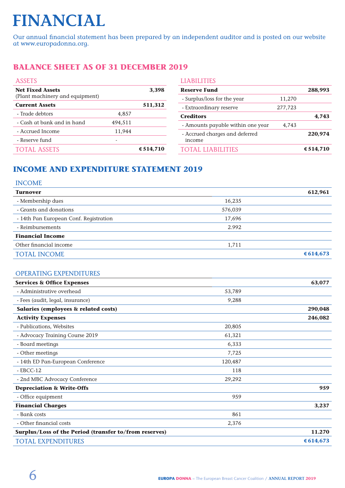# **FINANCIAL**

Our annual financial statement has been prepared by an independent auditor and is posted on our website at www.europadonna.org.

### **BALANCE SHEET AS OF 31 DECEMBER 2019**

| <b>ASSETS</b>                                              |         |             |
|------------------------------------------------------------|---------|-------------|
| <b>Net Fixed Assets</b><br>(Plant machinery and equipment) |         | 3,398       |
| <b>Current Assets</b>                                      |         | 511,312     |
| - Trade debtors                                            | 4,857   |             |
| - Cash at bank and in hand                                 | 494,511 |             |
| - Accrued Income                                           | 11,944  |             |
| - Reserve fund                                             |         |             |
| <b>TOTAL ASSETS</b>                                        |         | € $514,710$ |

| <b>LIABILITIES</b>                       |         |           |
|------------------------------------------|---------|-----------|
| <b>Reserve Fund</b>                      |         | 288,993   |
| - Surplus/loss for the year              | 11,270  |           |
| - Extraordinary reserve                  | 277,723 |           |
| <b>Creditors</b>                         |         | 4,743     |
| - Amounts payable within one year        | 4,743   |           |
| - Accrued charges and deferred<br>income |         | 220,974   |
| TOTAL LIABILITIES                        |         | € 514,710 |

### **INCOME AND EXPENDITURE STATEMENT 2019**

#### INCOME

| <b>Turnover</b>                        |         | 612,961     |
|----------------------------------------|---------|-------------|
| - Membership dues                      | 16,235  |             |
| - Grants and donations                 | 576,039 |             |
| - 14th Pan European Conf. Registration | 17,696  |             |
| - Reimbursements                       | 2.992   |             |
| <b>Financial Income</b>                |         |             |
| Other financial income                 | 1,711   |             |
| <b>TOTAL INCOME</b>                    |         | € $614,673$ |
|                                        |         |             |

#### OPERATING EXPENDITURES

| <b>Services &amp; Office Expenses</b>                  |         | 63,077      |
|--------------------------------------------------------|---------|-------------|
| - Administrative overhead                              | 53,789  |             |
| - Fees (audit, legal, insurance)                       | 9,288   |             |
| Salaries (employees & related costs)                   |         | 290,048     |
| <b>Activity Expenses</b>                               |         | 246,082     |
| - Publications, Websites                               | 20,805  |             |
| - Advocacy Training Course 2019                        | 61,321  |             |
| - Board meetings                                       | 6,333   |             |
| - Other meetings                                       | 7,725   |             |
| - 14th ED Pan-European Conference                      | 120,487 |             |
| $-$ EBCC-12                                            | 118     |             |
| - 2nd MBC Advocacy Conference                          | 29,292  |             |
| <b>Depreciation &amp; Write-Offs</b>                   |         | 959         |
| - Office equipment                                     | 959     |             |
| <b>Financial Charges</b>                               |         | 3,237       |
| - Bank costs                                           | 861     |             |
| - Other financial costs                                | 2,376   |             |
| Surplus/Loss of the Period (transfer to/from reserves) | 11.270  |             |
| <b>TOTAL EXPENDITURES</b>                              |         | € $614,673$ |
|                                                        |         |             |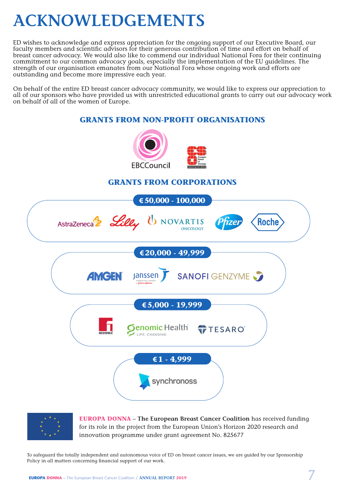## **ACKNOWLEDGEMENTS**

ED wishes to acknowledge and express appreciation for the ongoing support of our Executive Board, our faculty members and scientific advisors for their generous contribution of time and effort on behalf of breast cancer advocacy. We would also like to commend our individual National Fora for their continuing commitment to our common advocacy goals, especially the implementation of the EU guidelines. The strength of our organisation emanates from our National Fora whose ongoing work and efforts are outstanding and become more impressive each year.

On behalf of the entire ED breast cancer advocacy community, we would like to express our appreciation to all of our sponsors who have provided us with unrestricted educational grants to carry out our advocacy work on behalf of all of the women of Europe.

### **GRANTS FROM NON-PROFIT ORGANISATIONS**





**EUROPA DONNA** – **The European Breast Cancer Coalition** has received funding for its role in the project from the European Union's Horizon 2020 research and innovation programme under grant agreement No. 825677

To safeguard the totally independent and autonomous voice of ED on breast cancer issues, we are guided by our Sponsorship Policy in all matters concerning financial support of our work.